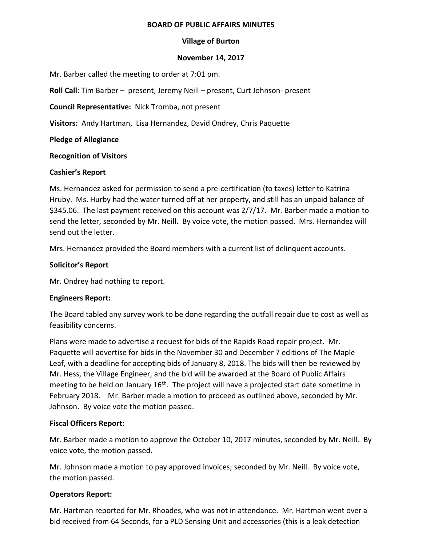#### **BOARD OF PUBLIC AFFAIRS MINUTES**

## **Village of Burton**

### **November 14, 2017**

Mr. Barber called the meeting to order at 7:01 pm.

**Roll Call**: Tim Barber – present, Jeremy Neill – present, Curt Johnson- present

**Council Representative:** Nick Tromba, not present

**Visitors:** Andy Hartman, Lisa Hernandez, David Ondrey, Chris Paquette

### **Pledge of Allegiance**

### **Recognition of Visitors**

### **Cashier's Report**

Ms. Hernandez asked for permission to send a pre-certification (to taxes) letter to Katrina Hruby. Ms. Hurby had the water turned off at her property, and still has an unpaid balance of \$345.06. The last payment received on this account was 2/7/17. Mr. Barber made a motion to send the letter, seconded by Mr. Neill. By voice vote, the motion passed. Mrs. Hernandez will send out the letter.

Mrs. Hernandez provided the Board members with a current list of delinquent accounts.

## **Solicitor's Report**

Mr. Ondrey had nothing to report.

### **Engineers Report:**

The Board tabled any survey work to be done regarding the outfall repair due to cost as well as feasibility concerns.

Plans were made to advertise a request for bids of the Rapids Road repair project. Mr. Paquette will advertise for bids in the November 30 and December 7 editions of The Maple Leaf, with a deadline for accepting bids of January 8, 2018. The bids will then be reviewed by Mr. Hess, the Village Engineer, and the bid will be awarded at the Board of Public Affairs meeting to be held on January 16<sup>th</sup>. The project will have a projected start date sometime in February 2018. Mr. Barber made a motion to proceed as outlined above, seconded by Mr. Johnson. By voice vote the motion passed.

### **Fiscal Officers Report:**

Mr. Barber made a motion to approve the October 10, 2017 minutes, seconded by Mr. Neill. By voice vote, the motion passed.

Mr. Johnson made a motion to pay approved invoices; seconded by Mr. Neill. By voice vote, the motion passed.

# **Operators Report:**

Mr. Hartman reported for Mr. Rhoades, who was not in attendance. Mr. Hartman went over a bid received from 64 Seconds, for a PLD Sensing Unit and accessories (this is a leak detection